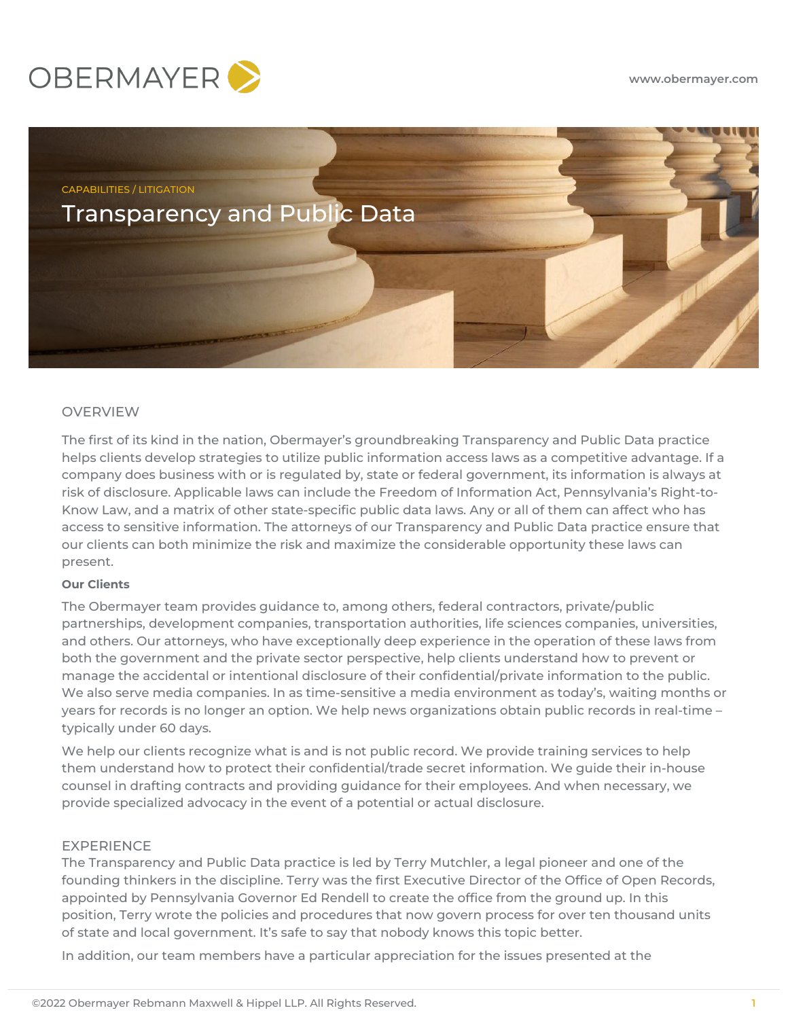



# OVERVIEW

The first of its kind in the nation, Obermayer's groundbreaking Transparency and Public Data practice helps clients develop strategies to utilize public information access laws as a competitive advantage. If a company does business with or is regulated by, state or federal government, its information is always at risk of disclosure. Applicable laws can include the Freedom of Information Act, Pennsylvania's Right-to-Know Law, and a matrix of other state-specific public data laws. Any or all of them can affect who has access to sensitive information. The attorneys of our Transparency and Public Data practice ensure that our clients can both minimize the risk and maximize the considerable opportunity these laws can present.

## **Our Clients**

The Obermayer team provides guidance to, among others, federal contractors, private/public partnerships, development companies, transportation authorities, life sciences companies, universities, and others. Our attorneys, who have exceptionally deep experience in the operation of these laws from both the government and the private sector perspective, help clients understand how to prevent or manage the accidental or intentional disclosure of their confidential/private information to the public. We also serve media companies. In as time-sensitive a media environment as today's, waiting months or years for records is no longer an option. We help news organizations obtain public records in real-time – typically under 60 days.

We help our clients recognize what is and is not public record. We provide training services to help them understand how to protect their confidential/trade secret information. We guide their in-house counsel in drafting contracts and providing guidance for their employees. And when necessary, we provide specialized advocacy in the event of a potential or actual disclosure.

#### EXPERIENCE

The Transparency and Public Data practice is led by Terry Mutchler, a legal pioneer and one of the founding thinkers in the discipline. Terry was the first Executive Director of the Office of Open Records, appointed by Pennsylvania Governor Ed Rendell to create the office from the ground up. In this position, Terry wrote the policies and procedures that now govern process for over ten thousand units of state and local government. It's safe to say that nobody knows this topic better.

In addition, our team members have a particular appreciation for the issues presented at the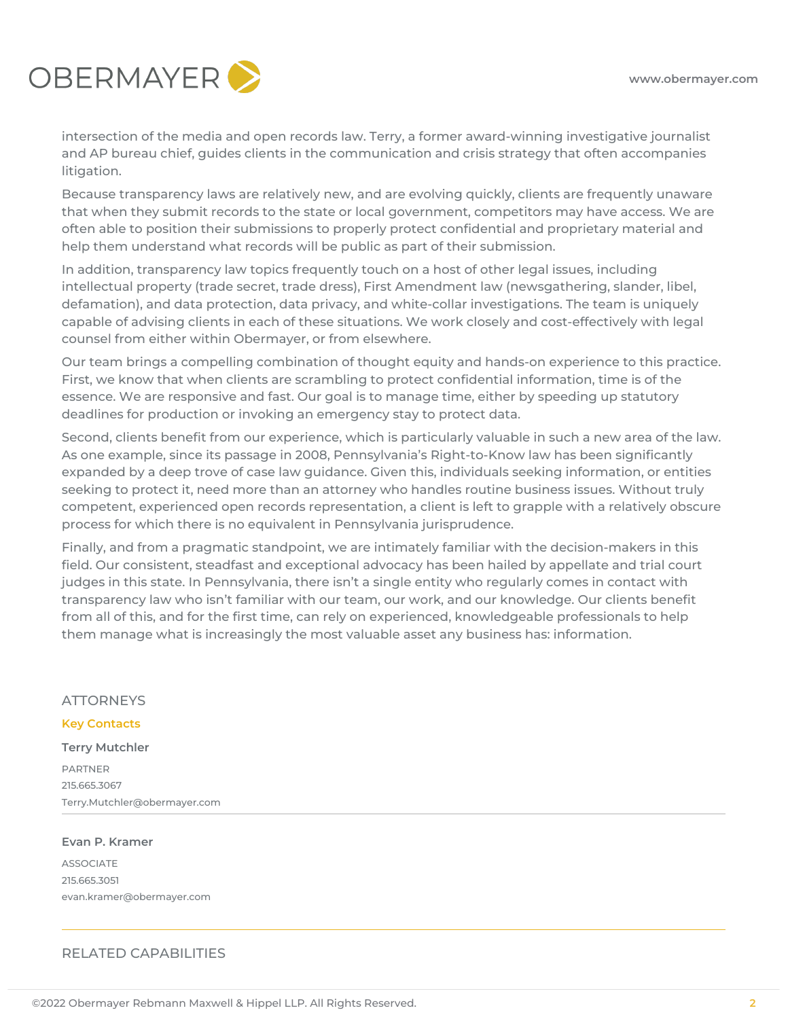

intersection of the media and open records law. Terry, a former award-winning investigative journalist and AP bureau chief, guides clients in the communication and crisis strategy that often accompanies litigation.

Because transparency laws are relatively new, and are evolving quickly, clients are frequently unaware that when they submit records to the state or local government, competitors may have access. We are often able to position their submissions to properly protect confidential and proprietary material and help them understand what records will be public as part of their submission.

In addition, transparency law topics frequently touch on a host of other legal issues, including intellectual property (trade secret, trade dress), First Amendment law (newsgathering, slander, libel, defamation), and data protection, data privacy, and white-collar investigations. The team is uniquely capable of advising clients in each of these situations. We work closely and cost-effectively with legal counsel from either within Obermayer, or from elsewhere.

Our team brings a compelling combination of thought equity and hands-on experience to this practice. First, we know that when clients are scrambling to protect confidential information, time is of the essence. We are responsive and fast. Our goal is to manage time, either by speeding up statutory deadlines for production or invoking an emergency stay to protect data.

Second, clients benefit from our experience, which is particularly valuable in such a new area of the law. As one example, since its passage in 2008, Pennsylvania's Right-to-Know law has been significantly expanded by a deep trove of case law guidance. Given this, individuals seeking information, or entities seeking to protect it, need more than an attorney who handles routine business issues. Without truly competent, experienced open records representation, a client is left to grapple with a relatively obscure process for which there is no equivalent in Pennsylvania jurisprudence.

Finally, and from a pragmatic standpoint, we are intimately familiar with the decision-makers in this field. Our consistent, steadfast and exceptional advocacy has been hailed by appellate and trial court judges in this state. In Pennsylvania, there isn't a single entity who regularly comes in contact with transparency law who isn't familiar with our team, our work, and our knowledge. Our clients benefit from all of this, and for the first time, can rely on experienced, knowledgeable professionals to help them manage what is increasingly the most valuable asset any business has: information.

## **ATTORNEYS**

### **Key Contacts**

**Terry Mutchler DADTNED** 215.665.3067 Terry.Mutchler@obermayer.com

#### **Evan P. Kramer**

ASSOCIATE 215.665.3051 evan.kramer@obermayer.com

## RELATED CAPABILITIES